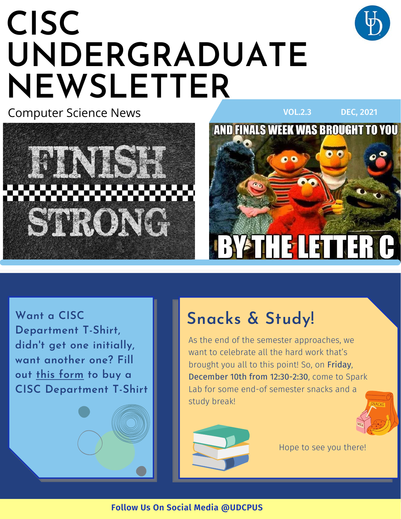# **CISC UNDERGRADUATE NEWSLETTER**







**Want a CISC Department T-Shirt, didn't get one initially, want another one? Fill out [this form](https://forms.gle/67yMs8YiAdtGCLQF6) to buy a CISC Department T-Shirt**

# **Snacks & Study!**

As the end of the semester approaches, we want to celebrate all the hard work that's brought you all to this point! So, on Friday, December 10th from 12:30-2:30, come to Spark Lab for some end-of semester snacks and a study break!





Hope to see you there!

**Follow Us On Social Media @UDCPUS**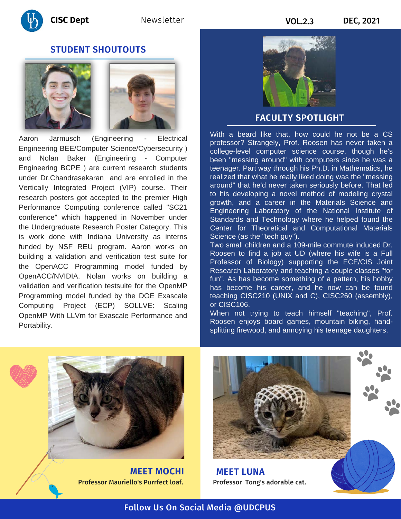

### **STUDENT SHOUTOUTS**





Aaron Jarmusch (Engineering - Electrical Engineering BEE/Computer Science/Cybersecurity ) and Nolan Baker (Engineering - Computer Engineering BCPE ) are current research students under Dr.Chandrasekaran and are enrolled in the Vertically Integrated Project (VIP) course. Their research posters got accepted to the premier High Performance Computing conference called "SC21 conference" which happened in November under the Undergraduate Research Poster Category. This is work done with Indiana University as interns funded by NSF REU program. Aaron works on building a validation and verification test suite for the OpenACC Programming model funded by OpenACC/NVIDIA. Nolan works on building a validation and verification testsuite for the OpenMP Programming model funded by the DOE Exascale Computing Project (ECP) SOLLVE: Scaling OpenMP With LLVm for Exascale Performance and Portability.

#### **FACULTY SPOTLIGHT**

With a beard like that, how could he not be a CS professor? Strangely, Prof. Roosen has never taken a college-level computer science course, though he's been "messing around" with computers since he was a teenager. Part way through his Ph.D. in Mathematics, he realized that what he really liked doing was the "messing around" that he'd never taken seriously before. That led to his developing a novel method of modeling crystal growth, and a career in the Materials Science and Engineering Laboratory of the National Institute of Standards and Technology where he helped found the Center for Theoretical and Computational Materials Science (as the "tech guy").

Two small children and a 109-mile commute induced Dr. Roosen to find a job at UD (where his wife is a Full Professor of Biology) supporting the ECE/CIS Joint Research Laboratory and teaching a couple classes "for fun". As has become something of a pattern, his hobby has become his career, and he now can be found teaching CISC210 (UNIX and C), CISC260 (assembly), or CISC106.

When not trying to teach himself "teaching", Prof. Roosen enjoys board games, mountain biking, handsplitting firewood, and annoying his teenage daughters.



**MEET MOCHI** Professor Mauriello's Purrfect loaf.



Professor Tong's adorable cat. **MEET LUNA**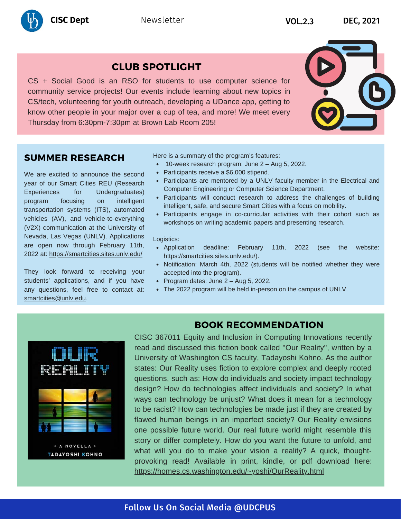

## **CLUB SPOTLIGHT**

CS + Social Good is an RSO for students to use computer science for community service projects! Our events include learning about new topics in CS/tech, volunteering for youth outreach, developing a UDance app, getting to know other people in your major over a cup of tea, and more! We meet every Thursday from 6:30pm-7:30pm at Brown Lab Room 205!



#### **SUMMER RESEARCH**

We are excited to announce the second year of our Smart Cities REU (Research Experiences for Undergraduates) program focusing on intelligent transportation systems (ITS), automated vehicles (AV), and vehicle-to-everything (V2X) communication at the University of Nevada, Las Vegas (UNLV). Applications are open now through February 11th, 2022 at:<https://smartcities.sites.unlv.edu/>

They look forward to receiving your students' applications, and if you have any questions, feel free to contact at: [smartcities@unlv.edu](mailto:smartcities@unlv.edu).

Here is a summary of the program's features:

- 10-week research program: June 2 Aug 5, 2022.
- Participants receive a \$6,000 stipend.
- Participants are mentored by a UNLV faculty member in the Electrical and Computer Engineering or Computer Science Department.
- Participants will conduct research to address the challenges of building intelligent, safe, and secure Smart Cities with a focus on mobility.
- Participants engage in co-curricular activities with their cohort such as workshops on writing academic papers and presenting research.

#### Logistics:

- Application deadline: February 11th, 2022 (see the website: <https://smartcities.sites.unlv.edu/>).
- Notification: March 4th, 2022 (students will be notified whether they were accepted into the program).
- Program dates: June  $2 Aug 5$ , 2022.
- The 2022 program will be held in-person on the campus of UNLV.

### **BOOK RECOMMENDATION**



CISC 367011 Equity and Inclusion in Computing Innovations recently read and discussed this fiction book called ''Our Reality'', written by a University of Washington CS faculty, Tadayoshi Kohno. As the author states: Our Reality uses fiction to explore complex and deeply rooted questions, such as: How do individuals and society impact technology design? How do technologies affect individuals and society? In what ways can technology be unjust? What does it mean for a technology to be racist? How can technologies be made just if they are created by flawed human beings in an imperfect society? Our Reality envisions one possible future world. Our real future world might resemble this story or differ completely. How do you want the future to unfold, and what will you do to make your vision a reality? A quick, thoughtprovoking read! Available in print, kindle, or pdf download here: <https://homes.cs.washington.edu/~yoshi/OurReality.html>

#### Follow Us On Social Media @UDCPUS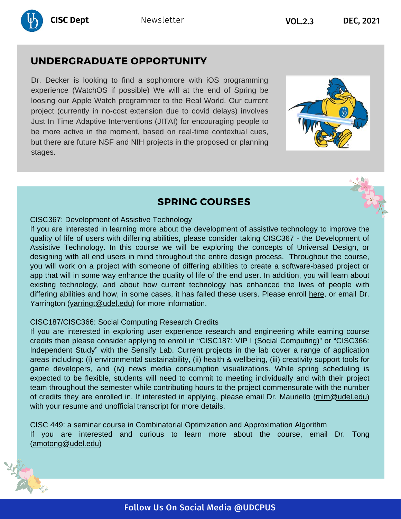

# **UNDERGRADUATE OPPORTUNITY**

Dr. Decker is looking to find a sophomore with iOS programming experience (WatchOS if possible) We will at the end of Spring be loosing our Apple Watch programmer to the Real World. Our current project (currently in no-cost extension due to covid delays) involves Just In Time Adaptive Interventions (JITAI) for encouraging people to be more active in the moment, based on real-time contextual cues, but there are future NSF and NIH projects in the proposed or planning stages.





## **SPRING COURSES**

#### CISC367: Development of Assistive Technology

If you are interested in learning more about the development of assistive technology to improve the quality of life of users with differing abilities, please consider taking CISC367 - the Development of Assistive Technology. In this course we will be exploring the concepts of Universal Design, or designing with all end users in mind throughout the entire design process. Throughout the course, you will work on a project with someone of differing abilities to create a software-based project or app that will in some way enhance the quality of life of the end user. In addition, you will learn about existing technology, and about how current technology has enhanced the lives of people with differing abilities and how, in some cases, it has failed these users. Please enroll [here](https://www.cis.udel.edu/academics/course-registration-information/), or email Dr. Yarrington ([yarringt@udel.edu\)](mailto:yarringt@udel.edu) for more information.

#### CISC187/CISC366: Social Computing Research Credits

If you are interested in exploring user experience research and engineering while earning course credits then please consider applying to enroll in "CISC187: VIP I (Social Computing)" or "CISC366: Independent Study" with the Sensify Lab. Current projects in the lab cover a range of application areas including: (i) environmental sustainability, (ii) health & wellbeing, (iii) creativity support tools for game developers, and (iv) news media consumption visualizations. While spring scheduling is expected to be flexible, students will need to commit to meeting individually and with their project team throughout the semester while contributing hours to the project commensurate with the number of credits they are enrolled in. If interested in applying, please email Dr. Mauriello ([mlm@udel.edu](mailto:mlm@udel.edu)) with your resume and unofficial transcript for more details.

CISC 449: a seminar course in Combinatorial Optimization and Approximation Algorithm If you are interested and curious to learn more about the course, email Dr. Tong ([amotong@udel.edu](mailto:amotong@udel.edu))